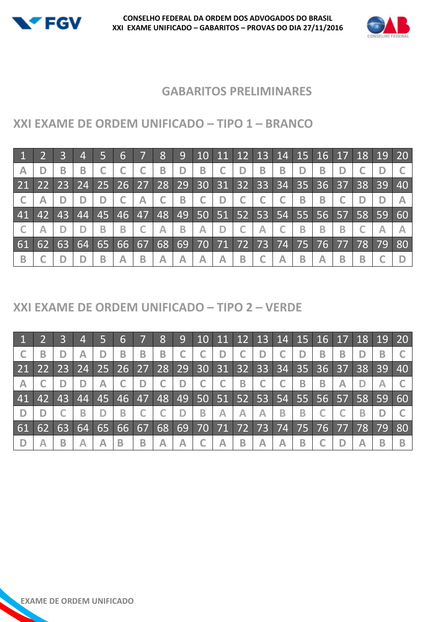



## **GABARITOS PRELIMINARES**

## **XXI EXAME DE ORDEM UNIFICADO – TIPO 1 – BRANCO**

|                         |    |              | $\overline{4}$    |    | 6     |             | <b>8</b> | 9            |                      |              |              | 10 11 12 13 14 15 16 17 |              |          |                |              |                | 18 19 20 |       |
|-------------------------|----|--------------|-------------------|----|-------|-------------|----------|--------------|----------------------|--------------|--------------|-------------------------|--------------|----------|----------------|--------------|----------------|----------|-------|
| $\overline{\mathsf{A}}$ | D  | В            | B                 |    |       |             | B        | D            | B                    | $\mathsf{C}$ | D            | B                       | B            | D        | B              | D            |                |          |       |
| $\sqrt{21}$             |    |              | 22 23 24 25 26 27 |    |       |             |          |              | 28 29 30 31 32 33    |              |              |                         | 34           | 35       |                | $36 \mid 37$ | 38             | 39       |       |
|                         |    |              |                   | D  |       | $\bigwedge$ |          | B            | $\mathsf{C}$         | D            | $\mathsf{C}$ |                         |              | B        | B              |              |                |          |       |
| 41                      |    | $42 \mid 43$ | 44                | 45 | 46 47 |             |          |              | 48 49 50 51 52 53 54 |              |              |                         |              |          |                |              | 55 56 57 58 59 |          | $-60$ |
|                         |    |              |                   | B  | B     |             | A        | $\mathbf{B}$ | $\bigwedge$          | D            | $\mathbb{C}$ | $\overline{\mathsf{A}}$ | $\mathsf{C}$ | B        | $\overline{B}$ | B            |                |          |       |
| 61                      | 62 | 63           | 64 65             |    | 66 67 |             |          |              | 68 69 70 71 72 73 74 |              |              |                         |              | 75 76 77 |                |              | 78             | 79       |       |
| B                       |    |              |                   | В  | Α     | B           | А        | Δ            | А                    | A            | $\mathbf B$  |                         | A            | B        | Α              | В            | В              |          |       |

#### **XXI EXAME DE ORDEM UNIFICADO – TIPO 2 – VERDE**

|    |    |    | $\overline{4}$ |    | 6     |   | 8 |   |   |                         |   | 9 10 11 12 13 14 15 16 17 18 19 20                                                 |   |   |   |   |    |    |
|----|----|----|----------------|----|-------|---|---|---|---|-------------------------|---|------------------------------------------------------------------------------------|---|---|---|---|----|----|
|    |    |    |                |    | B     | В | B |   |   |                         |   | D                                                                                  |   |   | B | В |    |    |
| 21 |    |    |                |    |       |   |   |   |   |                         |   | 22   23   24   25   26   27   28   29   30   31   32   33   34   35   36   37   38 |   |   |   |   | 39 | 40 |
|    |    |    |                | A  |       |   |   | D |   |                         | B |                                                                                    |   | B | B |   |    |    |
| 41 | 42 | 43 | 44             | 45 |       |   |   |   |   |                         |   | 46   47   48   49   50   51   52   53   54   55   56   57   58   59                |   |   |   |   |    | 60 |
|    |    |    |                |    | B     |   |   | D | B | $\overline{\mathsf{A}}$ |   | A                                                                                  | В | B |   |   |    |    |
| 61 |    |    | 62 63 64 65    |    | 66 67 |   |   |   |   |                         |   | 68 69 70 71 72 73 74 75 76 77 78                                                   |   |   |   |   | 79 | 80 |
|    |    | B  |                |    | В     | B |   |   |   | Α                       | B |                                                                                    | A | B |   |   |    |    |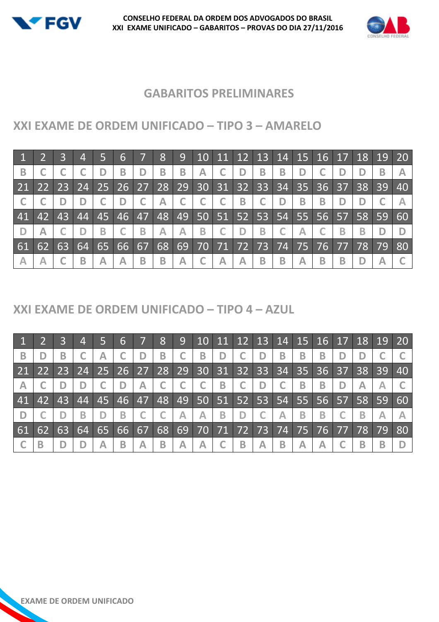



## **GABARITOS PRELIMINARES**

# **XXI EXAME DE ORDEM UNIFICADO – TIPO 3 – AMARELO**

|                         |       |     | $\overline{4}$ |    | 6     |   | 8           | 9 <sup>°</sup> |   |                | 10   11   12   13   14   15   16   17   18   19   20 |   |   |   |             |    |    |    |
|-------------------------|-------|-----|----------------|----|-------|---|-------------|----------------|---|----------------|------------------------------------------------------|---|---|---|-------------|----|----|----|
| B                       |       |     |                | D  | B     | D | B           | B              | Α | D              | B                                                    | Β |   |   |             |    | в  |    |
|                         |       |     |                |    |       |   |             |                |   |                | 21 22 23 24 25 26 27 28 29 30 31 32 33 34            |   |   |   | 35 36 37 38 |    | 39 | 40 |
|                         |       |     |                |    | D     |   | $\bigwedge$ |                |   | $\overline{B}$ |                                                      | D | B | B |             |    |    |    |
| 41                      | 42    | 437 | 44             | 45 | 46 47 |   |             |                |   |                | 48 49 50 51 52 53 54 55 56 57 58 59                  |   |   |   |             |    |    | 60 |
| D                       |       |     |                | B  |       | B | A           | $\mathbb{A}$   | B | D              | B                                                    |   | A |   | В           | В  |    |    |
| 61                      | $-62$ | 63  | 64 65          |    | 66 67 |   | 68          |                |   |                | 69 70 71 72 73 74 75                                 |   |   |   | $76$ 77     | 78 | 79 | 80 |
| $\overline{\mathsf{A}}$ |       |     | B              | Α  | Α     | B | B           | Α              |   | А              | B                                                    | B | Α | B | В           |    |    |    |

## **XXI EXAME DE ORDEM UNIFICADO – TIPO 4 – AZUL**

|                         |    |    | $\overline{4}$                                        |    | $6 \overline{6}$   |   | 8  | 9 <sup>°</sup>          | 10                |   |   | 11   12   13   14   15   16   17   18   19   20 |   |   |   |                        |    |           |    |
|-------------------------|----|----|-------------------------------------------------------|----|--------------------|---|----|-------------------------|-------------------|---|---|-------------------------------------------------|---|---|---|------------------------|----|-----------|----|
| B                       |    | B  |                                                       |    |                    |   | B  |                         | B                 | D |   | D                                               | B | B | B |                        |    |           |    |
|                         |    |    | 21 22 23 24 25 26 27 28 29 30 31 32 33 34 35 36 37 38 |    |                    |   |    |                         |                   |   |   |                                                 |   |   |   |                        |    | 39        | 40 |
| $\overline{\mathsf{A}}$ |    |    |                                                       |    | D                  | Α |    |                         |                   | B |   | D                                               |   | B | B |                        |    |           |    |
| 41                      | 42 | 43 | 44                                                    | 45 | 46 47              |   |    |                         | 48 49 50 51 52 53 |   |   |                                                 |   |   |   | 54   55   56   57   58 |    | <b>S9</b> | 60 |
|                         |    |    | В                                                     |    | В                  |   |    | $\mathbb{A}$            | A                 | B | D |                                                 | A | B | B |                        | B  |           |    |
| 61                      | 62 | 63 | 64                                                    | 65 | $166\overline{67}$ |   | 68 |                         |                   |   |   | 69 70 71 72 73 74 75 76 77                      |   |   |   |                        | 78 | 79        | 80 |
|                         |    |    |                                                       | Δ  | B                  | Α | B  | $\overline{\mathsf{A}}$ |                   |   | B | Α                                               | B | Α |   |                        |    |           |    |